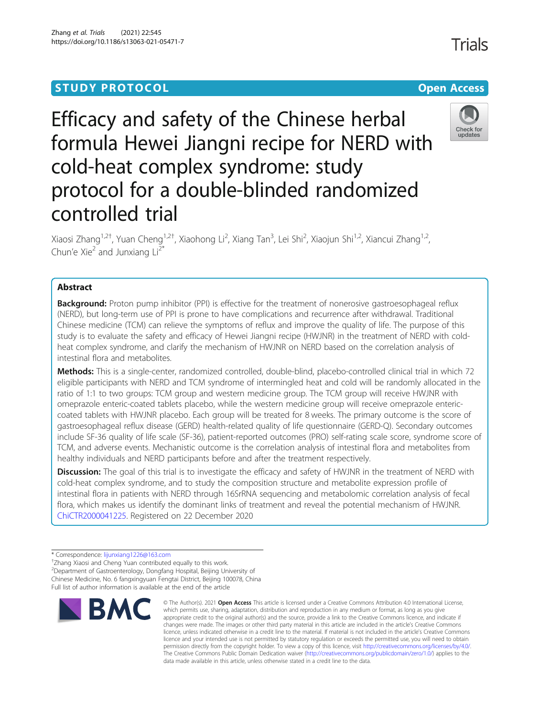# **STUDY PROTOCOL CONSUMING THE RESERVE ACCESS**

# Efficacy and safety of the Chinese herbal formula Hewei Jiangni recipe for NERD with cold-heat complex syndrome: study protocol for a double-blinded randomized controlled trial

Xiaosi Zhang<sup>1,2†</sup>, Yuan Cheng<sup>1,2†</sup>, Xiaohong Li<sup>2</sup>, Xiang Tan<sup>3</sup>, Lei Shi<sup>2</sup>, Xiaojun Shi<sup>1,2</sup>, Xiancui Zhang<sup>1,2</sup>, Chun'e Xie<sup>2</sup> and Junxiang  $Li^{2*}$ 

## Abstract

**Background:** Proton pump inhibitor (PPI) is effective for the treatment of nonerosive gastroesophageal reflux (NERD), but long-term use of PPI is prone to have complications and recurrence after withdrawal. Traditional Chinese medicine (TCM) can relieve the symptoms of reflux and improve the quality of life. The purpose of this study is to evaluate the safety and efficacy of Hewei Jiangni recipe (HWJNR) in the treatment of NERD with coldheat complex syndrome, and clarify the mechanism of HWJNR on NERD based on the correlation analysis of intestinal flora and metabolites.

Methods: This is a single-center, randomized controlled, double-blind, placebo-controlled clinical trial in which 72 eligible participants with NERD and TCM syndrome of intermingled heat and cold will be randomly allocated in the ratio of 1:1 to two groups: TCM group and western medicine group. The TCM group will receive HWJNR with omeprazole enteric-coated tablets placebo, while the western medicine group will receive omeprazole entericcoated tablets with HWJNR placebo. Each group will be treated for 8 weeks. The primary outcome is the score of gastroesophageal reflux disease (GERD) health-related quality of life questionnaire (GERD-Q). Secondary outcomes include SF-36 quality of life scale (SF-36), patient-reported outcomes (PRO) self-rating scale score, syndrome score of TCM, and adverse events. Mechanistic outcome is the correlation analysis of intestinal flora and metabolites from healthy individuals and NERD participants before and after the treatment respectively.

**Discussion:** The goal of this trial is to investigate the efficacy and safety of HWJNR in the treatment of NERD with cold-heat complex syndrome, and to study the composition structure and metabolite expression profile of intestinal flora in patients with NERD through 16SrRNA sequencing and metabolomic correlation analysis of fecal flora, which makes us identify the dominant links of treatment and reveal the potential mechanism of HWJNR. [ChiCTR2000041225](mailto:ChiCTR2000041225). Registered on 22 December 2020

**BMC** 

2 Department of Gastroenterology, Dongfang Hospital, Beijing University of Chinese Medicine, No. 6 fangxingyuan Fengtai District, Beijing 100078, China Full list of author information is available at the end of the article

© The Author(s), 2021 **Open Access** This article is licensed under a Creative Commons Attribution 4.0 International License, which permits use, sharing, adaptation, distribution and reproduction in any medium or format, as long as you give





<sup>\*</sup> Correspondence: [lijunxiang1226@163.com](mailto:lijunxiang1226@163.com) †

Zhang Xiaosi and Cheng Yuan contributed equally to this work.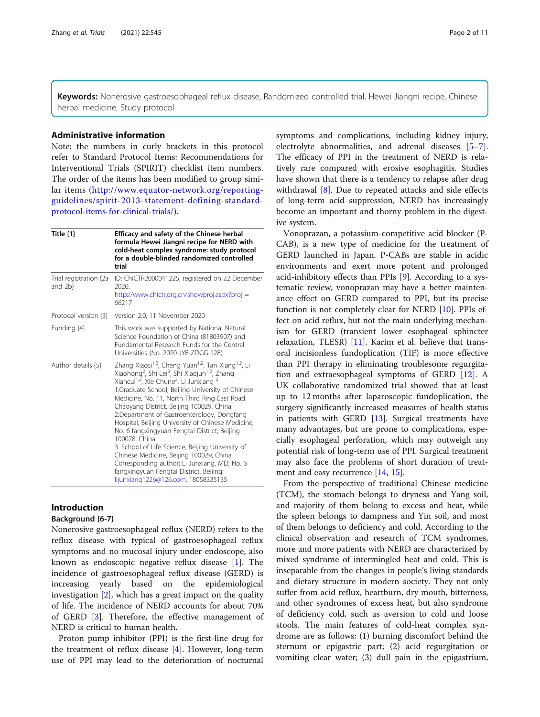Keywords: Nonerosive gastroesophageal reflux disease, Randomized controlled trial, Hewei Jiangni recipe, Chinese herbal medicine, Study protocol

## Administrative information

Note: the numbers in curly brackets in this protocol refer to Standard Protocol Items: Recommendations for Interventional Trials (SPIRIT) checklist item numbers. The order of the items has been modified to group similar items [\(http://www.equator-network.org/reporting](http://www.equator-network.org/reporting-guidelines/spirit-2013-statement-defining-standard-protocol-items-for-clinical-trials/)[guidelines/spirit-2013-statement-defining-standard](http://www.equator-network.org/reporting-guidelines/spirit-2013-statement-defining-standard-protocol-items-for-clinical-trials/)[protocol-items-for-clinical-trials/\)](http://www.equator-network.org/reporting-guidelines/spirit-2013-statement-defining-standard-protocol-items-for-clinical-trials/).

| Title $\{1\}$                     | <b>Efficacy and safety of the Chinese herbal</b><br>formula Hewei Jiangni recipe for NERD with<br>cold-heat complex syndrome: study protocol<br>for a double-blinded randomized controlled<br>trial                                                                                                                                                                                                                                                                                                                                                                                                                                                                                                                                                                                                  |
|-----------------------------------|------------------------------------------------------------------------------------------------------------------------------------------------------------------------------------------------------------------------------------------------------------------------------------------------------------------------------------------------------------------------------------------------------------------------------------------------------------------------------------------------------------------------------------------------------------------------------------------------------------------------------------------------------------------------------------------------------------------------------------------------------------------------------------------------------|
| Trial registration {2a<br>and 2b} | ID: ChiCTR2000041225, registered on 22 December<br>2020.<br>http://www.chictr.org.cn/showproj.aspx?proj =<br>66217                                                                                                                                                                                                                                                                                                                                                                                                                                                                                                                                                                                                                                                                                   |
| Protocol version {3}              | Version 2.0, 11 November 2020                                                                                                                                                                                                                                                                                                                                                                                                                                                                                                                                                                                                                                                                                                                                                                        |
| Funding {4}                       | This work was supported by National Natural<br>Science Foundation of China (81803907) and<br>Fundamental Research Funds for the Central<br>Universities (No. 2020-JYB-ZDGG-128)                                                                                                                                                                                                                                                                                                                                                                                                                                                                                                                                                                                                                      |
| Author details {5}                | Zhang Xiaosi <sup>1,2</sup> , Cheng Yuan <sup>1,2</sup> , Tan Xiang <sup>1,2</sup> , Li<br>Xiaohong <sup>2</sup> , Shi Lei <sup>3</sup> , Shi Xiaojun <sup>1,2</sup> , Zhang<br>Xiancui <sup>1,2</sup> , Xie Chune <sup>2</sup> , Li Junxiang<br>1.Graduate School, Beijing University of Chinese<br>Medicine, No. 11, North Third Ring East Road,<br>Chaoyang District, Beijing 100029, China<br>2. Department of Gastroenterology, Dongfang<br>Hospital, Beijing University of Chinese Medicine,<br>No. 6 fangxingyuan Fengtai District, Beijing<br>100078, China<br>3. School of Life Science, Beijing University of<br>Chinese Medicine, Beijing 100029, China<br>Corresponding author: Li Junxiang, MD; No. 6<br>fangxingyuan Fengtai District, Beijing;<br>lijunxiang1226@126.com, 18058335135 |

## Introduction

## Background {6-7}

Nonerosive gastroesophageal reflux (NERD) refers to the reflux disease with typical of gastroesophageal reflux symptoms and no mucosal injury under endoscope, also known as endoscopic negative reflux disease [[1\]](#page-10-0). The incidence of gastroesophageal reflux disease (GERD) is increasing yearly based on the epidemiological investigation [[2\]](#page-10-0), which has a great impact on the quality of life. The incidence of NERD accounts for about 70% of GERD [\[3](#page-10-0)]. Therefore, the effective management of NERD is critical to human health.

Proton pump inhibitor (PPI) is the first-line drug for the treatment of reflux disease [[4\]](#page-10-0). However, long-term use of PPI may lead to the deterioration of nocturnal symptoms and complications, including kidney injury, electrolyte abnormalities, and adrenal diseases [\[5](#page-10-0)–[7](#page-10-0)]. The efficacy of PPI in the treatment of NERD is relatively rare compared with erosive esophagitis. Studies have shown that there is a tendency to relapse after drug withdrawal [[8\]](#page-10-0). Due to repeated attacks and side effects of long-term acid suppression, NERD has increasingly become an important and thorny problem in the digestive system.

Vonoprazan, a potassium-competitive acid blocker (P-CAB), is a new type of medicine for the treatment of GERD launched in Japan. P-CABs are stable in acidic environments and exert more potent and prolonged acid-inhibitory effects than PPIs [[9\]](#page-10-0). According to a systematic review, vonoprazan may have a better maintenance effect on GERD compared to PPI, but its precise function is not completely clear for NERD [[10](#page-10-0)]. PPIs effect on acid reflux, but not the main underlying mechanism for GERD (transient lower esophageal sphincter relaxation, TLESR) [\[11\]](#page-10-0). Karim et al. believe that transoral incisionless fundoplication (TIF) is more effective than PPI therapy in eliminating troublesome regurgitation and extraesophageal symptoms of GERD [\[12](#page-10-0)]. A UK collaborative randomized trial showed that at least up to 12 months after laparoscopic fundoplication, the surgery significantly increased measures of health status in patients with GERD [[13\]](#page-10-0). Surgical treatments have many advantages, but are prone to complications, especially esophageal perforation, which may outweigh any potential risk of long-term use of PPI. Surgical treatment may also face the problems of short duration of treatment and easy recurrence [[14](#page-10-0), [15](#page-10-0)].

From the perspective of traditional Chinese medicine (TCM), the stomach belongs to dryness and Yang soil, and majority of them belong to excess and heat, while the spleen belongs to dampness and Yin soil, and most of them belongs to deficiency and cold. According to the clinical observation and research of TCM syndromes, more and more patients with NERD are characterized by mixed syndrome of intermingled heat and cold. This is inseparable from the changes in people's living standards and dietary structure in modern society. They not only suffer from acid reflux, heartburn, dry mouth, bitterness, and other syndromes of excess heat, but also syndrome of deficiency cold, such as aversion to cold and loose stools. The main features of cold-heat complex syndrome are as follows: (1) burning discomfort behind the sternum or epigastric part; (2) acid regurgitation or vomiting clear water; (3) dull pain in the epigastrium,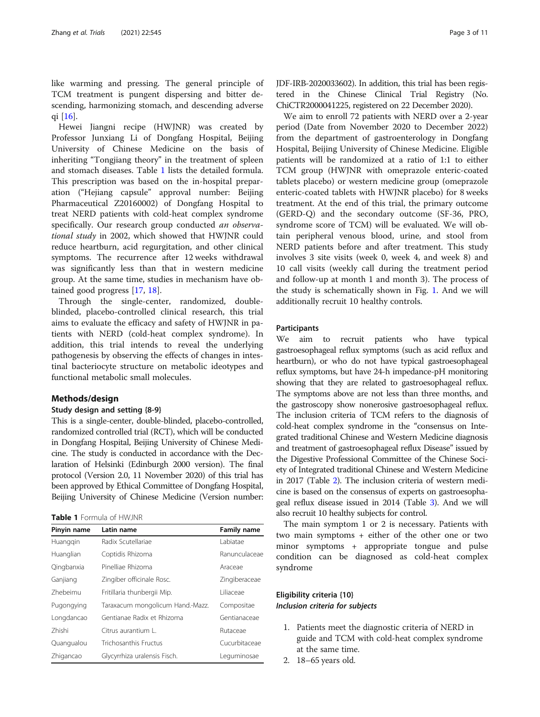like warming and pressing. The general principle of TCM treatment is pungent dispersing and bitter descending, harmonizing stomach, and descending adverse qi [[16](#page-10-0)].

Hewei Jiangni recipe (HWJNR) was created by Professor Junxiang Li of Dongfang Hospital, Beijing University of Chinese Medicine on the basis of inheriting "Tongjiang theory" in the treatment of spleen and stomach diseases. Table 1 lists the detailed formula. This prescription was based on the in-hospital preparation ("Hejiang capsule" approval number: Beijing Pharmaceutical Z20160002) of Dongfang Hospital to treat NERD patients with cold-heat complex syndrome specifically. Our research group conducted an observational study in 2002, which showed that HWJNR could reduce heartburn, acid regurgitation, and other clinical symptoms. The recurrence after 12 weeks withdrawal was significantly less than that in western medicine group. At the same time, studies in mechanism have obtained good progress [\[17](#page-10-0), [18](#page-10-0)].

Through the single-center, randomized, doubleblinded, placebo-controlled clinical research, this trial aims to evaluate the efficacy and safety of HWJNR in patients with NERD (cold-heat complex syndrome). In addition, this trial intends to reveal the underlying pathogenesis by observing the effects of changes in intestinal bacteriocyte structure on metabolic ideotypes and functional metabolic small molecules.

#### Methods/design

#### Study design and setting {8-9}

This is a single-center, double-blinded, placebo-controlled, randomized controlled trial (RCT), which will be conducted in Dongfang Hospital, Beijing University of Chinese Medicine. The study is conducted in accordance with the Declaration of Helsinki (Edinburgh 2000 version). The final protocol (Version 2.0, 11 November 2020) of this trial has been approved by Ethical Committee of Dongfang Hospital, Beijing University of Chinese Medicine (Version number:

|  | <b>Table 1</b> Formula of HWJNR |  |  |
|--|---------------------------------|--|--|
|  |                                 |  |  |

| Pinyin name | Latin name                       | Family name   |
|-------------|----------------------------------|---------------|
| Huanggin    | Radix Scutellariae               | Labiatae      |
| Huanglian   | Coptidis Rhizoma                 | Ranunculaceae |
| Qingbanxia  | Pinelliae Rhizoma                | Araceae       |
| Ganjiang    | Zingiber officinale Rosc.        | Zingiberaceae |
| 7hebeimu    | Fritillaria thunbergii Mip.      | Liliaceae     |
| Pugongying  | Taraxacum mongolicum Hand.-Mazz. | Compositae    |
| Longdancao  | Gentianae Radix et Rhizoma       | Gentianaceae  |
| 7hishi      | Citrus aurantium L.              | Rutaceae      |
| Quanqualou  | Trichosanthis Fructus            | Cucurbitaceae |
| Zhigancao   | Glycyrrhiza uralensis Fisch.     | Leguminosae   |

JDF-IRB-2020033602). In addition, this trial has been registered in the Chinese Clinical Trial Registry (No. ChiCTR2000041225, registered on 22 December 2020).

We aim to enroll 72 patients with NERD over a 2-year period (Date from November 2020 to December 2022) from the department of gastroenterology in Dongfang Hospital, Beijing University of Chinese Medicine. Eligible patients will be randomized at a ratio of 1:1 to either TCM group (HWJNR with omeprazole enteric-coated tablets placebo) or western medicine group (omeprazole enteric-coated tablets with HWJNR placebo) for 8 weeks treatment. At the end of this trial, the primary outcome (GERD-Q) and the secondary outcome (SF-36, PRO, syndrome score of TCM) will be evaluated. We will obtain peripheral venous blood, urine, and stool from NERD patients before and after treatment. This study involves 3 site visits (week 0, week 4, and week 8) and 10 call visits (weekly call during the treatment period and follow-up at month 1 and month 3). The process of the study is schematically shown in Fig. [1](#page-3-0). And we will additionally recruit 10 healthy controls.

#### Participants

We aim to recruit patients who have typical gastroesophageal reflux symptoms (such as acid reflux and heartburn), or who do not have typical gastroesophageal reflux symptoms, but have 24-h impedance-pH monitoring showing that they are related to gastroesophageal reflux. The symptoms above are not less than three months, and the gastroscopy show nonerosive gastroesophageal reflux. The inclusion criteria of TCM refers to the diagnosis of cold-heat complex syndrome in the "consensus on Integrated traditional Chinese and Western Medicine diagnosis and treatment of gastroesophageal reflux Disease" issued by the Digestive Professional Committee of the Chinese Society of Integrated traditional Chinese and Western Medicine in 2017 (Table [2](#page-3-0)). The inclusion criteria of western medicine is based on the consensus of experts on gastroesophageal reflux disease issued in 2014 (Table [3](#page-4-0)). And we will also recruit 10 healthy subjects for control.

The main symptom 1 or 2 is necessary. Patients with two main symptoms + either of the other one or two minor symptoms + appropriate tongue and pulse condition can be diagnosed as cold-heat complex syndrome

## Eligibility criteria {10} Inclusion criteria for subjects

- 1. Patients meet the diagnostic criteria of NERD in guide and TCM with cold-heat complex syndrome at the same time.
- 2. 18–65 years old.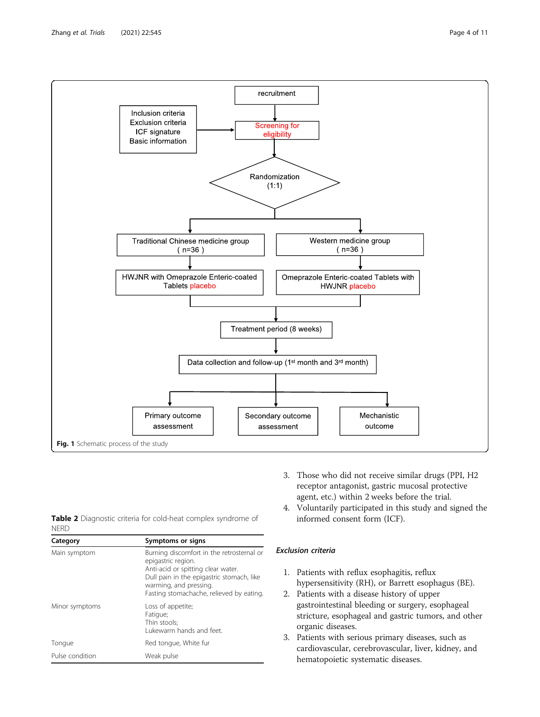<span id="page-3-0"></span>

|             | <b>Table 2</b> Diagnostic criteria for cold-heat complex syndrome of |  |  |  |
|-------------|----------------------------------------------------------------------|--|--|--|
| <b>NERD</b> |                                                                      |  |  |  |

| Category        | Symptoms or signs                                                                                                                                                                                                        |
|-----------------|--------------------------------------------------------------------------------------------------------------------------------------------------------------------------------------------------------------------------|
| Main symptom    | Burning discomfort in the retrosternal or<br>epigastric region.<br>Anti-acid or spitting clear water.<br>Dull pain in the epigastric stomach, like<br>warming, and pressing.<br>Fasting stomachache, relieved by eating. |
| Minor symptoms  | Loss of appetite;<br>Fatique;<br>Thin stools:<br>Lukewarm hands and feet.                                                                                                                                                |
| Tongue          | Red tongue, White fur                                                                                                                                                                                                    |
| Pulse condition | Weak pulse                                                                                                                                                                                                               |

- 3. Those who did not receive similar drugs (PPI, H2 receptor antagonist, gastric mucosal protective agent, etc.) within 2 weeks before the trial.
- 4. Voluntarily participated in this study and signed the informed consent form (ICF).

## Exclusion criteria

- 1. Patients with reflux esophagitis, reflux hypersensitivity (RH), or Barrett esophagus (BE).
- 2. Patients with a disease history of upper gastrointestinal bleeding or surgery, esophageal stricture, esophageal and gastric tumors, and other organic diseases.
- 3. Patients with serious primary diseases, such as cardiovascular, cerebrovascular, liver, kidney, and hematopoietic systematic diseases.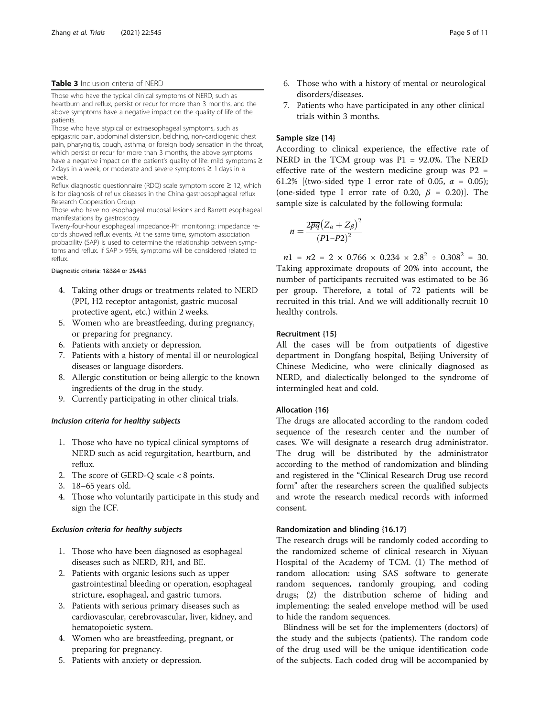#### <span id="page-4-0"></span>Table 3 Inclusion criteria of NERD

Those who have the typical clinical symptoms of NERD, such as heartburn and reflux, persist or recur for more than 3 months, and the above symptoms have a negative impact on the quality of life of the patients.

Those who have atypical or extraesophageal symptoms, such as epigastric pain, abdominal distension, belching, non-cardiogenic chest pain, pharyngitis, cough, asthma, or foreign body sensation in the throat, which persist or recur for more than 3 months, the above symptoms have a negative impact on the patient's quality of life: mild symptoms ≥ 2 days in a week, or moderate and severe symptoms ≥ 1 days in a week.

Reflux diagnostic questionnaire (RDQ) scale symptom score ≥ 12, which is for diagnosis of reflux diseases in the China gastroesophageal reflux Research Cooperation Group.

Those who have no esophageal mucosal lesions and Barrett esophageal manifestations by gastroscopy.

Tweny-four-hour esophageal impedance-PH monitoring: impedance records showed reflux events. At the same time, symptom association probability (SAP) is used to determine the relationship between symptoms and reflux. If SAP > 95%, symptoms will be considered related to reflux.

Diagnostic criteria: 1&3&4 or 2&4&5

- 4. Taking other drugs or treatments related to NERD (PPI, H2 receptor antagonist, gastric mucosal protective agent, etc.) within 2 weeks.
- 5. Women who are breastfeeding, during pregnancy, or preparing for pregnancy.
- 6. Patients with anxiety or depression.
- 7. Patients with a history of mental ill or neurological diseases or language disorders.
- 8. Allergic constitution or being allergic to the known ingredients of the drug in the study.
- 9. Currently participating in other clinical trials.

#### Inclusion criteria for healthy subjects

- 1. Those who have no typical clinical symptoms of NERD such as acid regurgitation, heartburn, and reflux.
- 2. The score of GERD-Q scale < 8 points.
- 3. 18–65 years old.
- 4. Those who voluntarily participate in this study and sign the ICF.

#### Exclusion criteria for healthy subjects

- 1. Those who have been diagnosed as esophageal diseases such as NERD, RH, and BE.
- 2. Patients with organic lesions such as upper gastrointestinal bleeding or operation, esophageal stricture, esophageal, and gastric tumors.
- 3. Patients with serious primary diseases such as cardiovascular, cerebrovascular, liver, kidney, and hematopoietic system.
- 4. Women who are breastfeeding, pregnant, or preparing for pregnancy.
- 5. Patients with anxiety or depression.
- 6. Those who with a history of mental or neurological disorders/diseases.
- 7. Patients who have participated in any other clinical trials within 3 months.

#### Sample size {14}

According to clinical experience, the effective rate of NERD in the TCM group was P1 = 92.0%. The NERD effective rate of the western medicine group was  $P2 =$ 61.2% [(two-sided type I error rate of 0.05,  $\alpha = 0.05$ ); (one-sided type I error rate of 0.20,  $\beta$  = 0.20)]. The sample size is calculated by the following formula:

$$
n=\frac{2\overline{pq}\left(Z_{\alpha}+Z_{\beta}\right)^2}{\left(P1-P2\right)^2}
$$

 $n1 = n2 = 2 \times 0.766 \times 0.234 \times 2.8^2 \div 0.308^2 = 30.$ Taking approximate dropouts of 20% into account, the number of participants recruited was estimated to be 36 per group. Therefore, a total of 72 patients will be recruited in this trial. And we will additionally recruit 10 healthy controls.

#### Recruitment {15}

All the cases will be from outpatients of digestive department in Dongfang hospital, Beijing University of Chinese Medicine, who were clinically diagnosed as NERD, and dialectically belonged to the syndrome of intermingled heat and cold.

## Allocation {16}

The drugs are allocated according to the random coded sequence of the research center and the number of cases. We will designate a research drug administrator. The drug will be distributed by the administrator according to the method of randomization and blinding and registered in the "Clinical Research Drug use record form" after the researchers screen the qualified subjects and wrote the research medical records with informed consent.

## Randomization and blinding {16.17}

The research drugs will be randomly coded according to the randomized scheme of clinical research in Xiyuan Hospital of the Academy of TCM. (1) The method of random allocation: using SAS software to generate random sequences, randomly grouping, and coding drugs; (2) the distribution scheme of hiding and implementing: the sealed envelope method will be used to hide the random sequences.

Blindness will be set for the implementers (doctors) of the study and the subjects (patients). The random code of the drug used will be the unique identification code of the subjects. Each coded drug will be accompanied by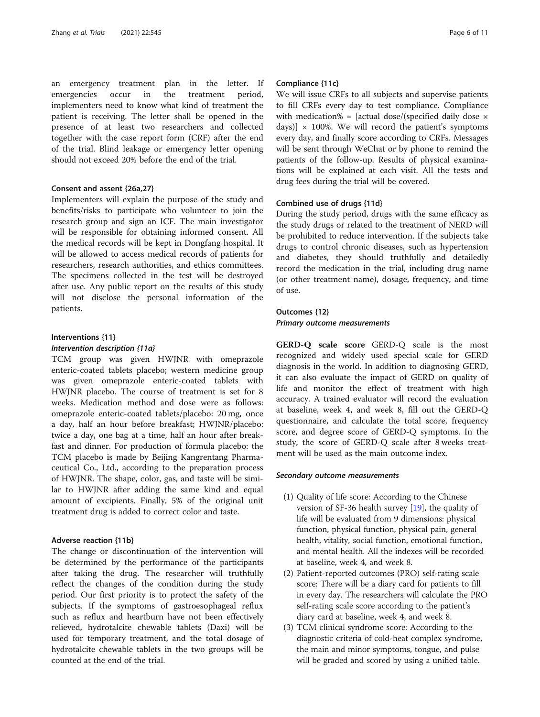an emergency treatment plan in the letter. If emergencies occur in the treatment period, implementers need to know what kind of treatment the patient is receiving. The letter shall be opened in the presence of at least two researchers and collected together with the case report form (CRF) after the end of the trial. Blind leakage or emergency letter opening should not exceed 20% before the end of the trial.

## Consent and assent {26a,27}

Implementers will explain the purpose of the study and benefits/risks to participate who volunteer to join the research group and sign an ICF. The main investigator will be responsible for obtaining informed consent. All the medical records will be kept in Dongfang hospital. It will be allowed to access medical records of patients for researchers, research authorities, and ethics committees. The specimens collected in the test will be destroyed after use. Any public report on the results of this study will not disclose the personal information of the patients.

## Interventions {11} Intervention description {11a}

TCM group was given HWJNR with omeprazole enteric-coated tablets placebo; western medicine group was given omeprazole enteric-coated tablets with HWJNR placebo. The course of treatment is set for 8 weeks. Medication method and dose were as follows: omeprazole enteric-coated tablets/placebo: 20 mg, once a day, half an hour before breakfast; HWJNR/placebo: twice a day, one bag at a time, half an hour after breakfast and dinner. For production of formula placebo: the TCM placebo is made by Beijing Kangrentang Pharmaceutical Co., Ltd., according to the preparation process of HWJNR. The shape, color, gas, and taste will be similar to HWJNR after adding the same kind and equal amount of excipients. Finally, 5% of the original unit treatment drug is added to correct color and taste.

## Adverse reaction {11b}

The change or discontinuation of the intervention will be determined by the performance of the participants after taking the drug. The researcher will truthfully reflect the changes of the condition during the study period. Our first priority is to protect the safety of the subjects. If the symptoms of gastroesophageal reflux such as reflux and heartburn have not been effectively relieved, hydrotalcite chewable tablets (Daxi) will be used for temporary treatment, and the total dosage of hydrotalcite chewable tablets in the two groups will be counted at the end of the trial.

## Compliance {11c}

We will issue CRFs to all subjects and supervise patients to fill CRFs every day to test compliance. Compliance with medication% = [actual dose/(specified daily dose  $\times$ days)]  $\times$  100%. We will record the patient's symptoms every day, and finally score according to CRFs. Messages will be sent through WeChat or by phone to remind the patients of the follow-up. Results of physical examinations will be explained at each visit. All the tests and drug fees during the trial will be covered.

#### Combined use of drugs {11d}

During the study period, drugs with the same efficacy as the study drugs or related to the treatment of NERD will be prohibited to reduce intervention. If the subjects take drugs to control chronic diseases, such as hypertension and diabetes, they should truthfully and detailedly record the medication in the trial, including drug name (or other treatment name), dosage, frequency, and time of use.

## Outcomes {12}

Primary outcome measurements

GERD-Q scale score GERD-Q scale is the most recognized and widely used special scale for GERD diagnosis in the world. In addition to diagnosing GERD, it can also evaluate the impact of GERD on quality of life and monitor the effect of treatment with high accuracy. A trained evaluator will record the evaluation at baseline, week 4, and week 8, fill out the GERD-Q questionnaire, and calculate the total score, frequency score, and degree score of GERD-Q symptoms. In the study, the score of GERD-Q scale after 8 weeks treatment will be used as the main outcome index.

## Secondary outcome measurements

- (1) Quality of life score: According to the Chinese version of SF-36 health survey [[19](#page-10-0)], the quality of life will be evaluated from 9 dimensions: physical function, physical function, physical pain, general health, vitality, social function, emotional function, and mental health. All the indexes will be recorded at baseline, week 4, and week 8.
- (2) Patient-reported outcomes (PRO) self-rating scale score: There will be a diary card for patients to fill in every day. The researchers will calculate the PRO self-rating scale score according to the patient's diary card at baseline, week 4, and week 8.
- (3) TCM clinical syndrome score: According to the diagnostic criteria of cold-heat complex syndrome, the main and minor symptoms, tongue, and pulse will be graded and scored by using a unified table.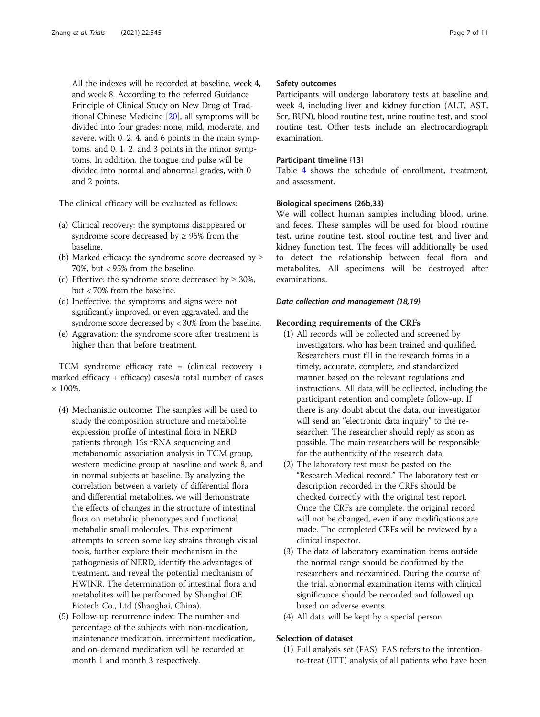All the indexes will be recorded at baseline, week 4, and week 8. According to the referred Guidance Principle of Clinical Study on New Drug of Traditional Chinese Medicine [[20](#page-10-0)], all symptoms will be divided into four grades: none, mild, moderate, and severe, with 0, 2, 4, and 6 points in the main symptoms, and 0, 1, 2, and 3 points in the minor symptoms. In addition, the tongue and pulse will be divided into normal and abnormal grades, with 0 and 2 points.

The clinical efficacy will be evaluated as follows:

- (a) Clinical recovery: the symptoms disappeared or syndrome score decreased by  $\geq$  95% from the baseline.
- (b) Marked efficacy: the syndrome score decreased by  $\geq$ 70%, but < 95% from the baseline.
- (c) Effective: the syndrome score decreased by  $\geq 30\%$ , but < 70% from the baseline.
- (d) Ineffective: the symptoms and signs were not significantly improved, or even aggravated, and the syndrome score decreased by < 30% from the baseline.
- (e) Aggravation: the syndrome score after treatment is higher than that before treatment.

TCM syndrome efficacy rate = (clinical recovery + marked efficacy + efficacy) cases/a total number of cases  $\times 100\%$ 

- (4) Mechanistic outcome: The samples will be used to study the composition structure and metabolite expression profile of intestinal flora in NERD patients through 16s rRNA sequencing and metabonomic association analysis in TCM group, western medicine group at baseline and week 8, and in normal subjects at baseline. By analyzing the correlation between a variety of differential flora and differential metabolites, we will demonstrate the effects of changes in the structure of intestinal flora on metabolic phenotypes and functional metabolic small molecules. This experiment attempts to screen some key strains through visual tools, further explore their mechanism in the pathogenesis of NERD, identify the advantages of treatment, and reveal the potential mechanism of HWJNR. The determination of intestinal flora and metabolites will be performed by Shanghai OE Biotech Co., Ltd (Shanghai, China).
- (5) Follow-up recurrence index: The number and percentage of the subjects with non-medication, maintenance medication, intermittent medication, and on-demand medication will be recorded at month 1 and month 3 respectively.

## Safety outcomes

Participants will undergo laboratory tests at baseline and week 4, including liver and kidney function (ALT, AST, Scr, BUN), blood routine test, urine routine test, and stool routine test. Other tests include an electrocardiograph examination.

## Participant timeline {13}

Table [4](#page-7-0) shows the schedule of enrollment, treatment, and assessment.

## Biological specimens {26b,33}

We will collect human samples including blood, urine, and feces. These samples will be used for blood routine test, urine routine test, stool routine test, and liver and kidney function test. The feces will additionally be used to detect the relationship between fecal flora and metabolites. All specimens will be destroyed after examinations.

## Data collection and management {18,19}

#### Recording requirements of the CRFs

- (1) All records will be collected and screened by investigators, who has been trained and qualified. Researchers must fill in the research forms in a timely, accurate, complete, and standardized manner based on the relevant regulations and instructions. All data will be collected, including the participant retention and complete follow-up. If there is any doubt about the data, our investigator will send an "electronic data inquiry" to the researcher. The researcher should reply as soon as possible. The main researchers will be responsible for the authenticity of the research data.
- (2) The laboratory test must be pasted on the "Research Medical record." The laboratory test or description recorded in the CRFs should be checked correctly with the original test report. Once the CRFs are complete, the original record will not be changed, even if any modifications are made. The completed CRFs will be reviewed by a clinical inspector.
- (3) The data of laboratory examination items outside the normal range should be confirmed by the researchers and reexamined. During the course of the trial, abnormal examination items with clinical significance should be recorded and followed up based on adverse events.
- (4) All data will be kept by a special person.

## Selection of dataset

(1) Full analysis set (FAS): FAS refers to the intentionto-treat (ITT) analysis of all patients who have been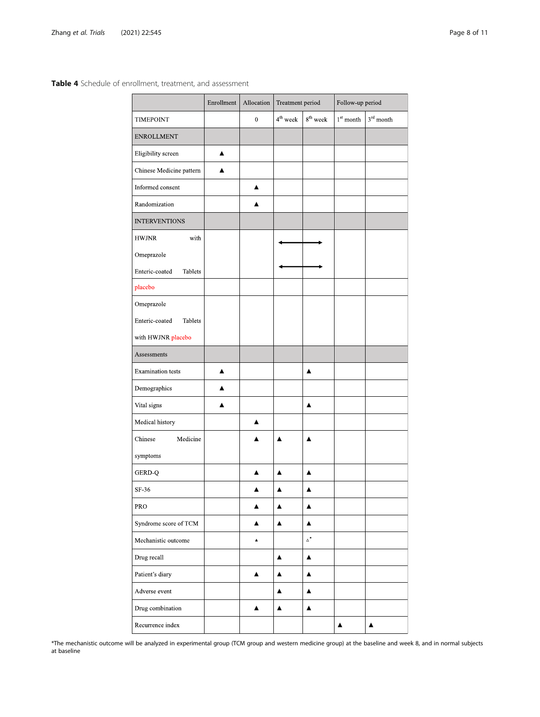<span id="page-7-0"></span>Table 4 Schedule of enrollment, treatment, and assessment

|                           | Enrollment | Allocation | Treatment period     |                     | Follow up period   |                  |  |
|---------------------------|------------|------------|----------------------|---------------------|--------------------|------------------|--|
| TIMEPOINT                 |            | $\bf{0}$   | 4 <sup>th</sup> week | $8^{th}$ week       | $1^{\rm st}$ month | $3rd$ month      |  |
| <b>ENROLLMENT</b>         |            |            |                      |                     |                    |                  |  |
| Eligibility screen        | ▲          |            |                      |                     |                    |                  |  |
| Chinese Medicine pattern  | ▲          |            |                      |                     |                    |                  |  |
| Informed consent          |            | ▲          |                      |                     |                    |                  |  |
| Randomization             |            |            |                      |                     |                    |                  |  |
| <b>INTERVENTIONS</b>      |            |            |                      |                     |                    |                  |  |
| <b>HWJNR</b><br>with      |            |            |                      |                     |                    |                  |  |
| Omeprazole                |            |            |                      |                     |                    |                  |  |
| Enteric-coated<br>Tablets |            |            |                      |                     |                    |                  |  |
| placebo                   |            |            |                      |                     |                    |                  |  |
| Omeprazole                |            |            |                      |                     |                    |                  |  |
| Enteric-coated<br>Tablets |            |            |                      |                     |                    |                  |  |
| with HWJNR placebo        |            |            |                      |                     |                    |                  |  |
| Assessments               |            |            |                      |                     |                    |                  |  |
| <b>Examination</b> tests  | A          |            |                      | ▲                   |                    |                  |  |
| Demographics              | A          |            |                      |                     |                    |                  |  |
| Vital signs               | ▲          |            |                      | ▲                   |                    |                  |  |
| Medical history           |            | ▲          |                      |                     |                    |                  |  |
| Medicine<br>Chinese       |            |            | A                    | А                   |                    |                  |  |
| symptoms                  |            |            |                      |                     |                    |                  |  |
| <b>GERD Q</b>             |            |            | ▲                    | A                   |                    |                  |  |
| SF-36                     |            |            |                      |                     |                    |                  |  |
| PRO                       |            |            | ▲                    | ▲                   |                    |                  |  |
| Syndrome score of TCM     |            | ▲          | ▲                    | ▲                   |                    |                  |  |
| Mechanistic outcome       |            | ٨          |                      | $\mathbb{\Delta}^*$ |                    |                  |  |
| Drug recall               |            |            | ▲                    | ▲                   |                    |                  |  |
| Patient's diary           |            | ▲          | ▲                    | ▲                   |                    |                  |  |
| Adverse event             |            |            | ▲                    | ▲                   |                    |                  |  |
| Drug combination          |            | ▲          | $\blacktriangle$     | $\blacktriangle$    |                    |                  |  |
| Recurrence index          |            |            |                      |                     | ▲                  | $\blacktriangle$ |  |

\*The mechanistic outcome will be analyzed in experimental group (TCM group and western medicine group) at the baseline and week 8, and in normal subjects at baseline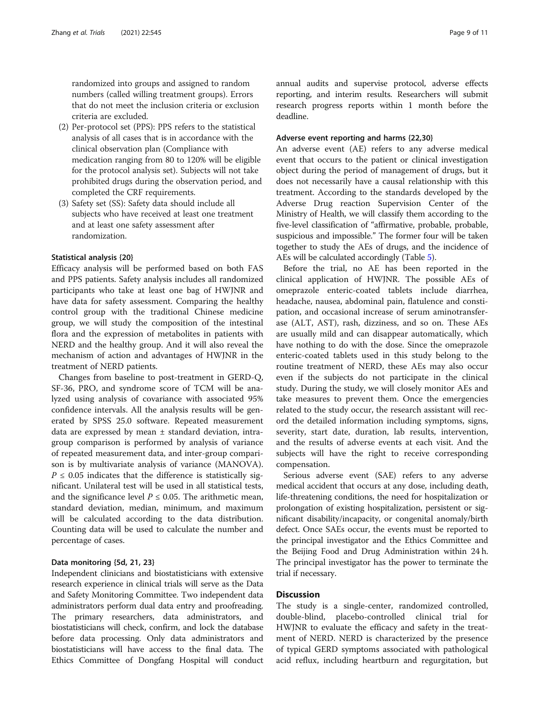randomized into groups and assigned to random numbers (called willing treatment groups). Errors that do not meet the inclusion criteria or exclusion criteria are excluded.

- (2) Per-protocol set (PPS): PPS refers to the statistical analysis of all cases that is in accordance with the clinical observation plan (Compliance with medication ranging from 80 to 120% will be eligible for the protocol analysis set). Subjects will not take prohibited drugs during the observation period, and completed the CRF requirements.
- (3) Safety set (SS): Safety data should include all subjects who have received at least one treatment and at least one safety assessment after randomization.

#### Statistical analysis {20}

Efficacy analysis will be performed based on both FAS and PPS patients. Safety analysis includes all randomized participants who take at least one bag of HWJNR and have data for safety assessment. Comparing the healthy control group with the traditional Chinese medicine group, we will study the composition of the intestinal flora and the expression of metabolites in patients with NERD and the healthy group. And it will also reveal the mechanism of action and advantages of HWJNR in the treatment of NERD patients.

Changes from baseline to post-treatment in GERD-Q, SF-36, PRO, and syndrome score of TCM will be analyzed using analysis of covariance with associated 95% confidence intervals. All the analysis results will be generated by SPSS 25.0 software. Repeated measurement data are expressed by mean  $\pm$  standard deviation, intragroup comparison is performed by analysis of variance of repeated measurement data, and inter-group comparison is by multivariate analysis of variance (MANOVA).  $P \leq 0.05$  indicates that the difference is statistically significant. Unilateral test will be used in all statistical tests, and the significance level  $P \le 0.05$ . The arithmetic mean, standard deviation, median, minimum, and maximum will be calculated according to the data distribution. Counting data will be used to calculate the number and percentage of cases.

## Data monitoring {5d, 21, 23}

Independent clinicians and biostatisticians with extensive research experience in clinical trials will serve as the Data and Safety Monitoring Committee. Two independent data administrators perform dual data entry and proofreading. The primary researchers, data administrators, and biostatisticians will check, confirm, and lock the database before data processing. Only data administrators and biostatisticians will have access to the final data. The Ethics Committee of Dongfang Hospital will conduct annual audits and supervise protocol, adverse effects reporting, and interim results. Researchers will submit research progress reports within 1 month before the deadline.

## Adverse event reporting and harms {22,30}

An adverse event (AE) refers to any adverse medical event that occurs to the patient or clinical investigation object during the period of management of drugs, but it does not necessarily have a causal relationship with this treatment. According to the standards developed by the Adverse Drug reaction Supervision Center of the Ministry of Health, we will classify them according to the five-level classification of "affirmative, probable, probable, suspicious and impossible." The former four will be taken together to study the AEs of drugs, and the incidence of AEs will be calculated accordingly (Table [5](#page-9-0)).

Before the trial, no AE has been reported in the clinical application of HWJNR. The possible AEs of omeprazole enteric-coated tablets include diarrhea, headache, nausea, abdominal pain, flatulence and constipation, and occasional increase of serum aminotransferase (ALT, AST), rash, dizziness, and so on. These AEs are usually mild and can disappear automatically, which have nothing to do with the dose. Since the omeprazole enteric-coated tablets used in this study belong to the routine treatment of NERD, these AEs may also occur even if the subjects do not participate in the clinical study. During the study, we will closely monitor AEs and take measures to prevent them. Once the emergencies related to the study occur, the research assistant will record the detailed information including symptoms, signs, severity, start date, duration, lab results, intervention, and the results of adverse events at each visit. And the subjects will have the right to receive corresponding compensation.

Serious adverse event (SAE) refers to any adverse medical accident that occurs at any dose, including death, life-threatening conditions, the need for hospitalization or prolongation of existing hospitalization, persistent or significant disability/incapacity, or congenital anomaly/birth defect. Once SAEs occur, the events must be reported to the principal investigator and the Ethics Committee and the Beijing Food and Drug Administration within 24 h. The principal investigator has the power to terminate the trial if necessary.

## **Discussion**

The study is a single-center, randomized controlled, double-blind, placebo-controlled clinical trial for HWJNR to evaluate the efficacy and safety in the treatment of NERD. NERD is characterized by the presence of typical GERD symptoms associated with pathological acid reflux, including heartburn and regurgitation, but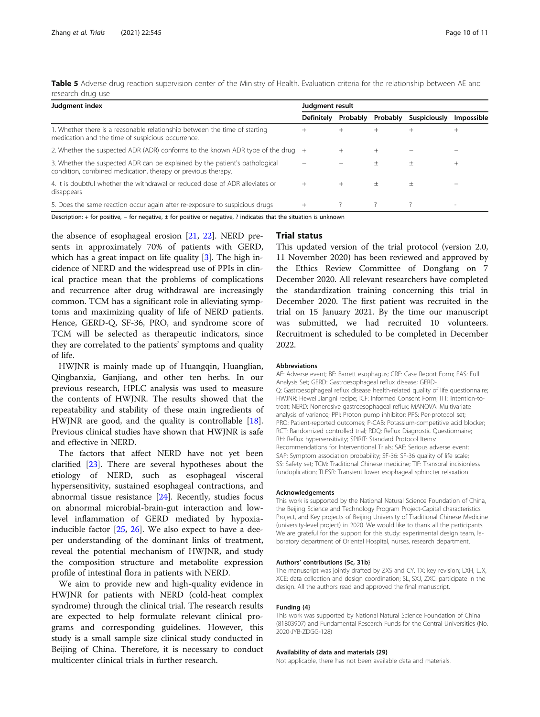<span id="page-9-0"></span>

| Table 5 Adverse drug reaction supervision center of the Ministry of Health. Evaluation criteria for the relationship between AE and |  |  |  |  |
|-------------------------------------------------------------------------------------------------------------------------------------|--|--|--|--|
| research drug use                                                                                                                   |  |  |  |  |

| Judgment index                                                                                                                              | Judgment result   |          |          |              |            |  |  |  |
|---------------------------------------------------------------------------------------------------------------------------------------------|-------------------|----------|----------|--------------|------------|--|--|--|
|                                                                                                                                             | <b>Definitely</b> | Probably | Probably | Suspiciously | Impossible |  |  |  |
| 1. Whether there is a reasonable relationship between the time of starting<br>medication and the time of suspicious occurrence.             | $^{+}$            | $^{+}$   |          |              |            |  |  |  |
| 2. Whether the suspected ADR (ADR) conforms to the known ADR type of the drug                                                               |                   |          |          |              |            |  |  |  |
| 3. Whether the suspected ADR can be explained by the patient's pathological<br>condition, combined medication, therapy or previous therapy. |                   |          |          | 土            |            |  |  |  |
| 4. It is doubtful whether the withdrawal or reduced dose of ADR alleviates or<br>disappears                                                 |                   | $^{+}$   | $^+$     | $^+$         |            |  |  |  |
| 5. Does the same reaction occur again after re-exposure to suspicious drugs                                                                 | $^{+}$            |          |          |              |            |  |  |  |

Description: + for positive, − for negative, ± for positive or negative, ? indicates that the situation is unknown

the absence of esophageal erosion [[21,](#page-10-0) [22\]](#page-10-0). NERD presents in approximately 70% of patients with GERD, which has a great impact on life quality [\[3](#page-10-0)]. The high incidence of NERD and the widespread use of PPIs in clinical practice mean that the problems of complications and recurrence after drug withdrawal are increasingly common. TCM has a significant role in alleviating symptoms and maximizing quality of life of NERD patients. Hence, GERD-Q, SF-36, PRO, and syndrome score of TCM will be selected as therapeutic indicators, since they are correlated to the patients' symptoms and quality of life.

HWJNR is mainly made up of Huangqin, Huanglian, Qingbanxia, Ganjiang, and other ten herbs. In our previous research, HPLC analysis was used to measure the contents of HWJNR. The results showed that the repeatability and stability of these main ingredients of HWJNR are good, and the quality is controllable [\[18](#page-10-0)]. Previous clinical studies have shown that HWJNR is safe and effective in NERD.

The factors that affect NERD have not yet been clarified [[23\]](#page-10-0). There are several hypotheses about the etiology of NERD, such as esophageal visceral hypersensitivity, sustained esophageal contractions, and abnormal tissue resistance [\[24](#page-10-0)]. Recently, studies focus on abnormal microbial-brain-gut interaction and lowlevel inflammation of GERD mediated by hypoxiainducible factor [\[25](#page-10-0), [26\]](#page-10-0). We also expect to have a deeper understanding of the dominant links of treatment, reveal the potential mechanism of HWJNR, and study the composition structure and metabolite expression profile of intestinal flora in patients with NERD.

We aim to provide new and high-quality evidence in HWJNR for patients with NERD (cold-heat complex syndrome) through the clinical trial. The research results are expected to help formulate relevant clinical programs and corresponding guidelines. However, this study is a small sample size clinical study conducted in Beijing of China. Therefore, it is necessary to conduct multicenter clinical trials in further research.

## Trial status

This updated version of the trial protocol (version 2.0, 11 November 2020) has been reviewed and approved by the Ethics Review Committee of Dongfang on 7 December 2020. All relevant researchers have completed the standardization training concerning this trial in December 2020. The first patient was recruited in the trial on 15 January 2021. By the time our manuscript was submitted, we had recruited 10 volunteers. Recruitment is scheduled to be completed in December 2022.

#### Abbreviations

AE: Adverse event; BE: Barrett esophagus; CRF: Case Report Form; FAS: Full Analysis Set; GERD: Gastroesophageal reflux disease; GERD-Q: Gastroesophageal reflux disease health-related quality of life questionnaire; HWJNR: Hewei Jiangni recipe; ICF: Informed Consent Form; ITT: Intention-totreat; NERD: Nonerosive gastroesophageal reflux; MANOVA: Multivariate analysis of variance; PPI: Proton pump inhibitor; PPS: Per-protocol set; PRO: Patient-reported outcomes; P-CAB: Potassium-competitive acid blocker; RCT: Randomized controlled trial; RDQ: Reflux Diagnostic Questionnaire; RH: Reflux hypersensitivity; SPIRIT: Standard Protocol Items: Recommendations for Interventional Trials; SAE: Serious adverse event; SAP: Symptom association probability; SF-36: SF-36 quality of life scale; SS: Safety set; TCM: Traditional Chinese medicine; TIF: Transoral incisionless fundoplication; TLESR: Transient lower esophageal sphincter relaxation

#### Acknowledgements

This work is supported by the National Natural Science Foundation of China, the Beijing Science and Technology Program Project-Capital characteristics Project, and Key projects of Beijing University of Traditional Chinese Medicine (university-level project) in 2020. We would like to thank all the participants. We are grateful for the support for this study: experimental design team, laboratory department of Oriental Hospital, nurses, research department.

#### Authors' contributions {5c, 31b}

The manuscript was jointly drafted by ZXS and CY. TX: key revision; LXH, LJX, XCE: data collection and design coordination: SL, SXJ, ZXC: participate in the design. All the authors read and approved the final manuscript.

#### Funding {4}

This work was supported by National Natural Science Foundation of China (81803907) and Fundamental Research Funds for the Central Universities (No. 2020-JYB-ZDGG-128)

#### Availability of data and materials {29}

Not applicable, there has not been available data and materials.